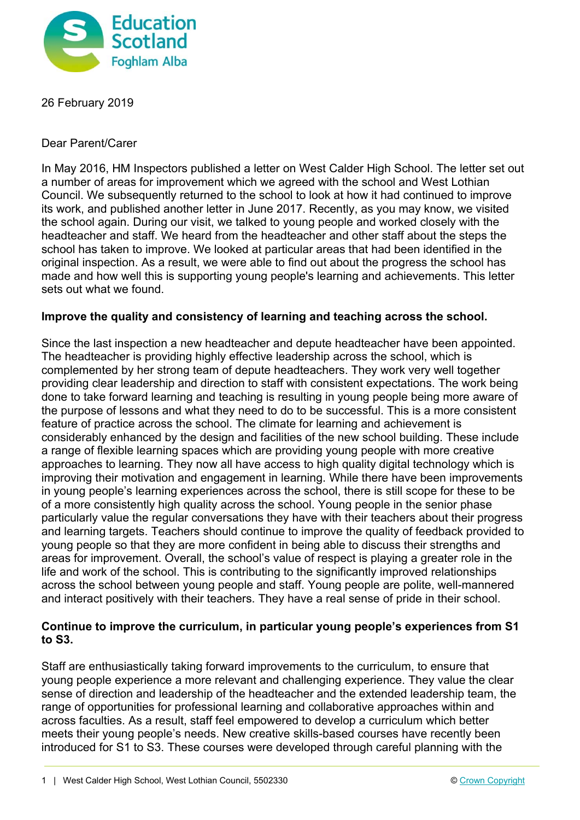

26 February 2019

Dear Parent/Carer

In May 2016, HM Inspectors published a letter on West Calder High School. The letter set out a number of areas for improvement which we agreed with the school and West Lothian Council. We subsequently returned to the school to look at how it had continued to improve its work, and published another letter in June 2017. Recently, as you may know, we visited the school again. During our visit, we talked to young people and worked closely with the headteacher and staff. We heard from the headteacher and other staff about the steps the school has taken to improve. We looked at particular areas that had been identified in the original inspection. As a result, we were able to find out about the progress the school has made and how well this is supporting young people's learning and achievements. This letter sets out what we found.

## **Improve the quality and consistency of learning and teaching across the school.**

Since the last inspection a new headteacher and depute headteacher have been appointed. The headteacher is providing highly effective leadership across the school, which is complemented by her strong team of depute headteachers. They work very well together providing clear leadership and direction to staff with consistent expectations. The work being done to take forward learning and teaching is resulting in young people being more aware of the purpose of lessons and what they need to do to be successful. This is a more consistent feature of practice across the school. The climate for learning and achievement is considerably enhanced by the design and facilities of the new school building. These include a range of flexible learning spaces which are providing young people with more creative approaches to learning. They now all have access to high quality digital technology which is improving their motivation and engagement in learning. While there have been improvements in young people's learning experiences across the school, there is still scope for these to be of a more consistently high quality across the school. Young people in the senior phase particularly value the regular conversations they have with their teachers about their progress and learning targets. Teachers should continue to improve the quality of feedback provided to young people so that they are more confident in being able to discuss their strengths and areas for improvement. Overall, the school's value of respect is playing a greater role in the life and work of the school. This is contributing to the significantly improved relationships across the school between young people and staff. Young people are polite, well-mannered and interact positively with their teachers. They have a real sense of pride in their school.

## **Continue to improve the curriculum, in particular young people's experiences from S1 to S3.**

Staff are enthusiastically taking forward improvements to the curriculum, to ensure that young people experience a more relevant and challenging experience. They value the clear sense of direction and leadership of the headteacher and the extended leadership team, the range of opportunities for professional learning and collaborative approaches within and across faculties. As a result, staff feel empowered to develop a curriculum which better meets their young people's needs. New creative skills-based courses have recently been introduced for S1 to S3. These courses were developed through careful planning with the